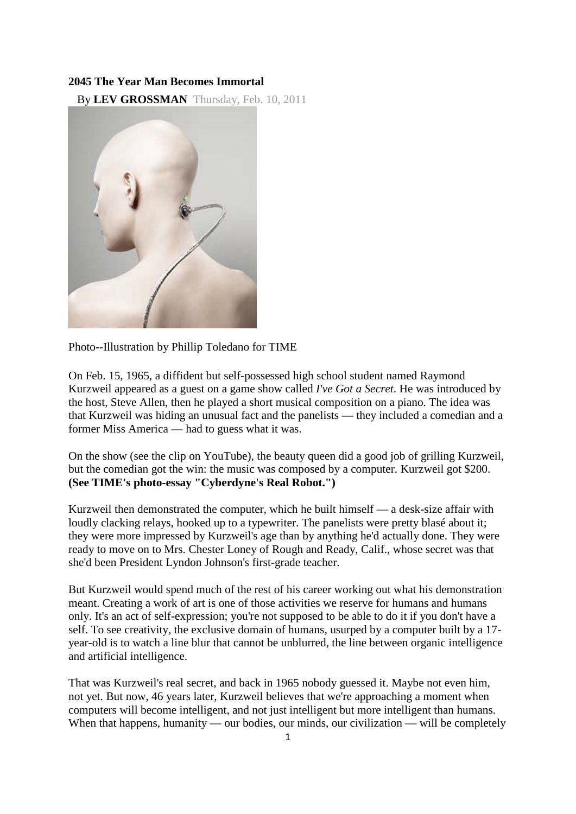## **2045 The Year Man Becomes Immortal**

By **[LEV GROSSMAN](http://www.time.com/time/letters/email_letter.html)** Thursday, Feb. 10, 2011



Photo--Illustration by Phillip Toledano for TIME

On Feb. 15, 1965, a diffident but self-possessed high school student named Raymond Kurzweil appeared as a guest on a game show called *I've Got a Secret*. He was introduced by the host, Steve Allen, then he played a short musical composition on a piano. The idea was that Kurzweil was hiding an unusual fact and the panelists — they included a comedian and a former Miss America — had to guess what it was.

On the show (see [the clip](http://www.youtube.com/watch?v=X4Neivqp2K4) on YouTube), the beauty queen did a good job of grilling Kurzweil, but the comedian got the win: the music was composed by a computer. Kurzweil got \$200. **[\(See TIME's photo-essay "Cyberdyne's Real Robot."\)](http://www.time.com/time/photogallery/0,29307,1900202,00.html)**

Kurzweil then demonstrated the computer, which he built himself — a desk-size affair with loudly clacking relays, hooked up to a typewriter. The panelists were pretty blasé about it; they were more impressed by Kurzweil's age than by anything he'd actually done. They were ready to move on to Mrs. Chester Loney of Rough and Ready, Calif., whose secret was that she'd been President Lyndon Johnson's first-grade teacher.

But Kurzweil would spend much of the rest of his career working out what his demonstration meant. Creating a work of art is one of those activities we reserve for humans and humans only. It's an act of self-expression; you're not supposed to be able to do it if you don't have a self. To see creativity, the exclusive domain of humans, usurped by a computer built by a 17 year-old is to watch a line blur that cannot be unblurred, the line between organic intelligence and artificial intelligence.

That was Kurzweil's real secret, and back in 1965 nobody guessed it. Maybe not even him, not yet. But now, 46 years later, Kurzweil believes that we're approaching a moment when computers will become intelligent, and not just intelligent but more intelligent than humans. When that happens, humanity — our bodies, our minds, our civilization — will be completely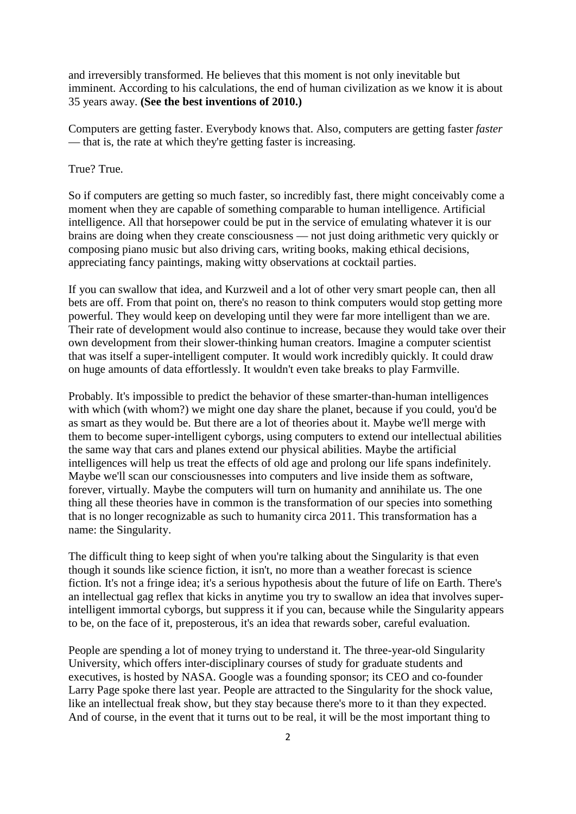and irreversibly transformed. He believes that this moment is not only inevitable but imminent. According to his calculations, the end of human civilization as we know it is about 35 years away. **[\(See the best inventions of 2010.\)](http://www.time.com/time/specials/packages/0,28757,2029497,00.html)**

Computers are getting faster. Everybody knows that. Also, computers are getting faster *faster* — that is, the rate at which they're getting faster is increasing.

## True? True.

So if computers are getting so much faster, so incredibly fast, there might conceivably come a moment when they are capable of something comparable to human intelligence. Artificial intelligence. All that horsepower could be put in the service of emulating whatever it is our brains are doing when they create consciousness — not just doing arithmetic very quickly or composing piano music but also driving cars, writing books, making ethical decisions, appreciating fancy paintings, making witty observations at cocktail parties.

If you can swallow that idea, and Kurzweil and a lot of other very smart people can, then all bets are off. From that point on, there's no reason to think computers would stop getting more powerful. They would keep on developing until they were far more intelligent than we are. Their rate of development would also continue to increase, because they would take over their own development from their slower-thinking human creators. Imagine a computer scientist that was itself a super-intelligent computer. It would work incredibly quickly. It could draw on huge amounts of data effortlessly. It wouldn't even take breaks to play Farmville.

Probably. It's impossible to predict the behavior of these smarter-than-human intelligences with which (with whom?) we might one day share the planet, because if you could, you'd be as smart as they would be. But there are a lot of theories about it. Maybe we'll merge with them to become super-intelligent cyborgs, using computers to extend our intellectual abilities the same way that cars and planes extend our physical abilities. Maybe the artificial intelligences will help us treat the effects of old age and prolong our life spans indefinitely. Maybe we'll scan our consciousnesses into computers and live inside them as software, forever, virtually. Maybe the computers will turn on humanity and annihilate us. The one thing all these theories have in common is the transformation of our species into something that is no longer recognizable as such to humanity circa 2011. This transformation has a name: the Singularity.

The difficult thing to keep sight of when you're talking about the Singularity is that even though it sounds like science fiction, it isn't, no more than a weather forecast is science fiction. It's not a fringe idea; it's a serious hypothesis about the future of life on Earth. There's an intellectual gag reflex that kicks in anytime you try to swallow an idea that involves superintelligent immortal cyborgs, but suppress it if you can, because while the Singularity appears to be, on the face of it, preposterous, it's an idea that rewards sober, careful evaluation.

People are spending a lot of money trying to understand it. The three-year-old Singularity University, which offers inter-disciplinary courses of study for graduate students and executives, is hosted by NASA. Google was a founding sponsor; its CEO and co-founder Larry Page spoke there last year. People are attracted to the Singularity for the shock value, like an intellectual freak show, but they stay because there's more to it than they expected. And of course, in the event that it turns out to be real, it will be the most important thing to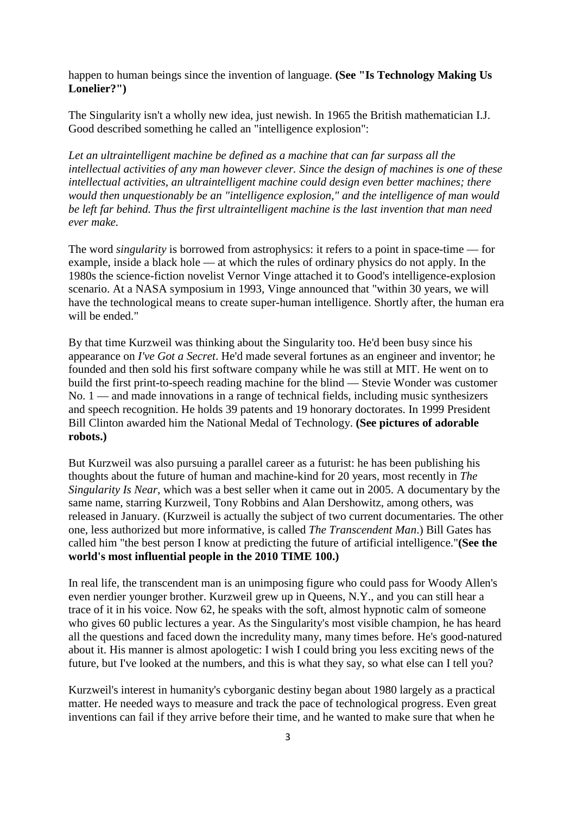happen to human beings since the invention of language. **[\(See "Is Technology Making Us](http://www.time.com/time/health/article/0,8599,2041714,00.html)  [Lonelier?"\)](http://www.time.com/time/health/article/0,8599,2041714,00.html)**

The Singularity isn't a wholly new idea, just newish. In 1965 the British mathematician I.J. Good described something he called an "intelligence explosion":

*Let an ultraintelligent machine be defined as a machine that can far surpass all the intellectual activities of any man however clever. Since the design of machines is one of these intellectual activities, an ultraintelligent machine could design even better machines; there would then unquestionably be an "intelligence explosion," and the intelligence of man would be left far behind. Thus the first ultraintelligent machine is the last invention that man need ever make.* 

The word *singularity* is borrowed from astrophysics: it refers to a point in space-time — for example, inside a black hole — at which the rules of ordinary physics do not apply. In the 1980s the science-fiction novelist Vernor Vinge attached it to Good's intelligence-explosion scenario. At a NASA symposium in 1993, Vinge announced that "within 30 years, we will have the technological means to create super-human intelligence. Shortly after, the human era will be ended."

By that time Kurzweil was thinking about the Singularity too. He'd been busy since his appearance on *I've Got a Secret*. He'd made several fortunes as an engineer and inventor; he founded and then sold his first software company while he was still at MIT. He went on to build the first print-to-speech reading machine for the blind — Stevie Wonder was customer No. 1 — and made innovations in a range of technical fields, including music synthesizers and speech recognition. He holds 39 patents and 19 honorary doctorates. In 1999 President Bill Clinton awarded him the National Medal of Technology. **[\(See pictures of adorable](http://www.time.com/time/photogallery/0,29307,1815874,00.html)  [robots.\)](http://www.time.com/time/photogallery/0,29307,1815874,00.html)**

But Kurzweil was also pursuing a parallel career as a futurist: he has been publishing his thoughts about the future of human and machine-kind for 20 years, most recently in *The Singularity Is Near*, which was a best seller when it came out in 2005. A documentary by the same name, starring Kurzweil, Tony Robbins and Alan Dershowitz, among others, was released in January. (Kurzweil is actually the subject of two current documentaries. The other one, less authorized but more informative, is called *The Transcendent Man*.) Bill Gates has called him "the best person I know at predicting the future of artificial intelligence."**[\(See the](http://www.time.com/time/specials/packages/0,28757,1984685,00.html)  [world's most influential people in the 2010 TIME 100.\)](http://www.time.com/time/specials/packages/0,28757,1984685,00.html)**

In real life, the transcendent man is an unimposing figure who could pass for Woody Allen's even nerdier younger brother. Kurzweil grew up in Queens, N.Y., and you can still hear a trace of it in his voice. Now 62, he speaks with the soft, almost hypnotic calm of someone who gives 60 public lectures a year. As the Singularity's most visible champion, he has heard all the questions and faced down the incredulity many, many times before. He's good-natured about it. His manner is almost apologetic: I wish I could bring you less exciting news of the future, but I've looked at the numbers, and this is what they say, so what else can I tell you?

Kurzweil's interest in humanity's cyborganic destiny began about 1980 largely as a practical matter. He needed ways to measure and track the pace of technological progress. Even great inventions can fail if they arrive before their time, and he wanted to make sure that when he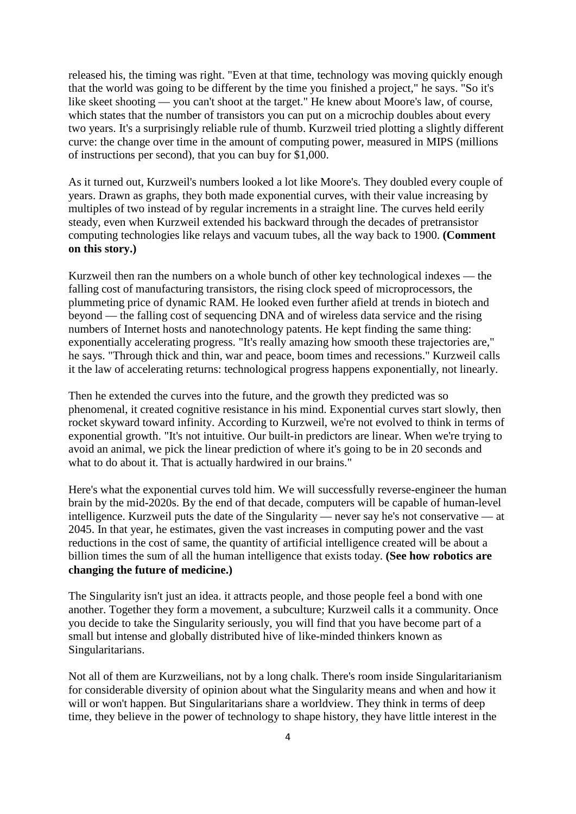released his, the timing was right. "Even at that time, technology was moving quickly enough that the world was going to be different by the time you finished a project," he says. "So it's like skeet shooting — you can't shoot at the target." He knew about Moore's law, of course, which states that the number of transistors you can put on a microchip doubles about every two years. It's a surprisingly reliable rule of thumb. Kurzweil tried plotting a slightly different curve: the change over time in the amount of computing power, measured in MIPS (millions of instructions per second), that you can buy for \$1,000.

As it turned out, Kurzweil's numbers looked a lot like Moore's. They doubled every couple of years. Drawn as graphs, they both made exponential curves, with their value increasing by multiples of two instead of by regular increments in a straight line. The curves held eerily steady, even when Kurzweil extended his backward through the decades of pretransistor computing technologies like relays and vacuum tubes, all the way back to 1900. **[\(Comment](http://www.time.com/time/health/article/0,8599,2048138,00.html#comments)  [on this story.\)](http://www.time.com/time/health/article/0,8599,2048138,00.html#comments)**

Kurzweil then ran the numbers on a whole bunch of other key technological indexes — the falling cost of manufacturing transistors, the rising clock speed of microprocessors, the plummeting price of dynamic RAM. He looked even further afield at trends in biotech and beyond — the falling cost of sequencing DNA and of wireless data service and the rising numbers of Internet hosts and nanotechnology patents. He kept finding the same thing: exponentially accelerating progress. "It's really amazing how smooth these trajectories are," he says. "Through thick and thin, war and peace, boom times and recessions." Kurzweil calls it the law of accelerating returns: technological progress happens exponentially, not linearly.

Then he extended the curves into the future, and the growth they predicted was so phenomenal, it created cognitive resistance in his mind. Exponential curves start slowly, then rocket skyward toward infinity. According to Kurzweil, we're not evolved to think in terms of exponential growth. "It's not intuitive. Our built-in predictors are linear. When we're trying to avoid an animal, we pick the linear prediction of where it's going to be in 20 seconds and what to do about it. That is actually hardwired in our brains."

Here's what the exponential curves told him. We will successfully reverse-engineer the human brain by the mid-2020s. By the end of that decade, computers will be capable of human-level intelligence. Kurzweil puts the date of the Singularity — never say he's not conservative — at 2045. In that year, he estimates, given the vast increases in computing power and the vast reductions in the cost of same, the quantity of artificial intelligence created will be about a billion times the sum of all the human intelligence that exists today. **[\(See how robotics are](http://www.time.com/time/specials/packages/article/0,28804,2032747_2033111_2033133,00.html)  [changing the future of medicine.\)](http://www.time.com/time/specials/packages/article/0,28804,2032747_2033111_2033133,00.html)**

The Singularity isn't just an idea. it attracts people, and those people feel a bond with one another. Together they form a movement, a subculture; Kurzweil calls it a community. Once you decide to take the Singularity seriously, you will find that you have become part of a small but intense and globally distributed hive of like-minded thinkers known as Singularitarians.

Not all of them are Kurzweilians, not by a long chalk. There's room inside Singularitarianism for considerable diversity of opinion about what the Singularity means and when and how it will or won't happen. But Singularitarians share a worldview. They think in terms of deep time, they believe in the power of technology to shape history, they have little interest in the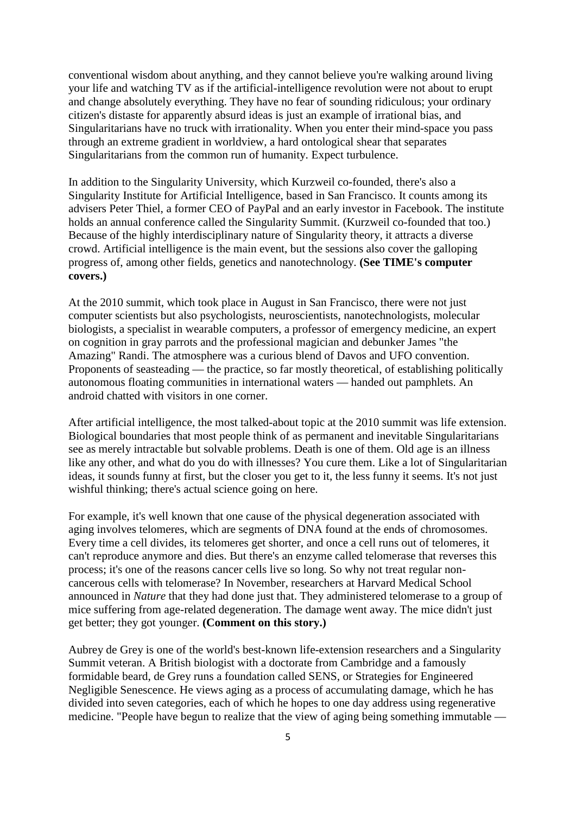conventional wisdom about anything, and they cannot believe you're walking around living your life and watching TV as if the artificial-intelligence revolution were not about to erupt and change absolutely everything. They have no fear of sounding ridiculous; your ordinary citizen's distaste for apparently absurd ideas is just an example of irrational bias, and Singularitarians have no truck with irrationality. When you enter their mind-space you pass through an extreme gradient in worldview, a hard ontological shear that separates Singularitarians from the common run of humanity. Expect turbulence.

In addition to the Singularity University, which Kurzweil co-founded, there's also a Singularity Institute for Artificial Intelligence, based in San Francisco. It counts among its advisers Peter Thiel, a former CEO of PayPal and an early investor in Facebook. The institute holds an annual conference called the Singularity Summit. (Kurzweil co-founded that too.) Because of the highly interdisciplinary nature of Singularity theory, it attracts a diverse crowd. Artificial intelligence is the main event, but the sessions also cover the galloping progress of, among other fields, genetics and nanotechnology. **[\(See TIME's computer](http://search.time.com/results.html?N=46&Ntt=computers&iid=covers)  [covers.\)](http://search.time.com/results.html?N=46&Ntt=computers&iid=covers)**

At the 2010 summit, which took place in August in San Francisco, there were not just computer scientists but also psychologists, neuroscientists, nanotechnologists, molecular biologists, a specialist in wearable computers, a professor of emergency medicine, an expert on cognition in gray parrots and the professional magician and debunker James "the Amazing" Randi. The atmosphere was a curious blend of Davos and UFO convention. Proponents of seasteading — the practice, so far mostly theoretical, of establishing politically autonomous floating communities in international waters — handed out pamphlets. An android chatted with visitors in one corner.

After artificial intelligence, the most talked-about topic at the 2010 summit was life extension. Biological boundaries that most people think of as permanent and inevitable Singularitarians see as merely intractable but solvable problems. Death is one of them. Old age is an illness like any other, and what do you do with illnesses? You cure them. Like a lot of Singularitarian ideas, it sounds funny at first, but the closer you get to it, the less funny it seems. It's not just wishful thinking; there's actual science going on here.

For example, it's well known that one cause of the physical degeneration associated with aging involves telomeres, which are segments of DNA found at the ends of chromosomes. Every time a cell divides, its telomeres get shorter, and once a cell runs out of telomeres, it can't reproduce anymore and dies. But there's an enzyme called telomerase that reverses this process; it's one of the reasons cancer cells live so long. So why not treat regular noncancerous cells with telomerase? In November, researchers at Harvard Medical School announced in *Nature* that they had done just that. They administered telomerase to a group of mice suffering from age-related degeneration. The damage went away. The mice didn't just get better; they got younger. **[\(Comment on this story.\)](http://www.time.com/time/health/article/0,8599,2048138,00.html#comments)**

Aubrey de Grey is one of the world's best-known life-extension researchers and a Singularity Summit veteran. A British biologist with a doctorate from Cambridge and a famously formidable beard, de Grey runs a foundation called SENS, or Strategies for Engineered Negligible Senescence. He views aging as a process of accumulating damage, which he has divided into seven categories, each of which he hopes to one day address using regenerative medicine. "People have begun to realize that the view of aging being something immutable —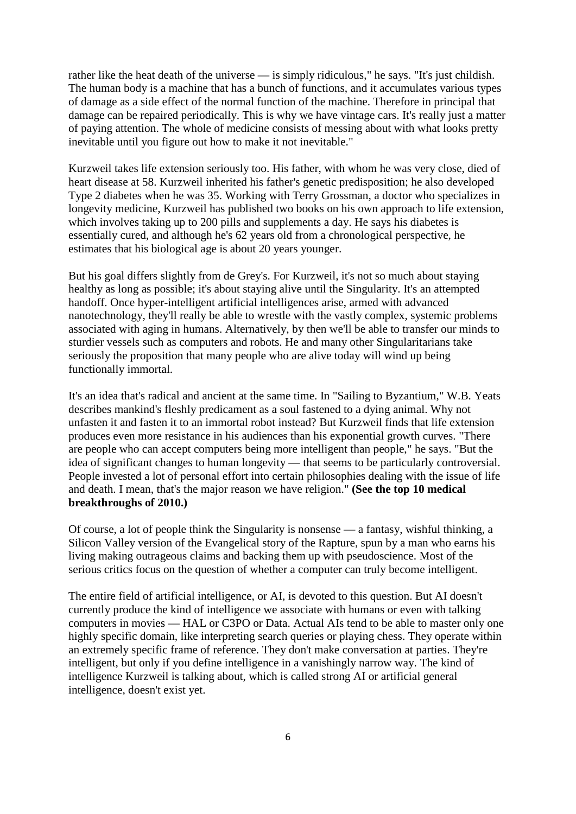rather like the heat death of the universe — is simply ridiculous," he says. "It's just childish. The human body is a machine that has a bunch of functions, and it accumulates various types of damage as a side effect of the normal function of the machine. Therefore in principal that damage can be repaired periodically. This is why we have vintage cars. It's really just a matter of paying attention. The whole of medicine consists of messing about with what looks pretty inevitable until you figure out how to make it not inevitable."

Kurzweil takes life extension seriously too. His father, with whom he was very close, died of heart disease at 58. Kurzweil inherited his father's genetic predisposition; he also developed Type 2 diabetes when he was 35. Working with Terry Grossman, a doctor who specializes in longevity medicine, Kurzweil has published two books on his own approach to life extension, which involves taking up to 200 pills and supplements a day. He says his diabetes is essentially cured, and although he's 62 years old from a chronological perspective, he estimates that his biological age is about 20 years younger.

But his goal differs slightly from de Grey's. For Kurzweil, it's not so much about staying healthy as long as possible; it's about staying alive until the Singularity. It's an attempted handoff. Once hyper-intelligent artificial intelligences arise, armed with advanced nanotechnology, they'll really be able to wrestle with the vastly complex, systemic problems associated with aging in humans. Alternatively, by then we'll be able to transfer our minds to sturdier vessels such as computers and robots. He and many other Singularitarians take seriously the proposition that many people who are alive today will wind up being functionally immortal.

It's an idea that's radical and ancient at the same time. In "Sailing to Byzantium," W.B. Yeats describes mankind's fleshly predicament as a soul fastened to a dying animal. Why not unfasten it and fasten it to an immortal robot instead? But Kurzweil finds that life extension produces even more resistance in his audiences than his exponential growth curves. "There are people who can accept computers being more intelligent than people," he says. "But the idea of significant changes to human longevity — that seems to be particularly controversial. People invested a lot of personal effort into certain philosophies dealing with the issue of life and death. I mean, that's the major reason we have religion." **[\(See the top 10 medical](http://www.time.com/time/specials/packages/article/0,28804,2035319_2034529,00.html)  [breakthroughs of 2010.\)](http://www.time.com/time/specials/packages/article/0,28804,2035319_2034529,00.html)**

Of course, a lot of people think the Singularity is nonsense — a fantasy, wishful thinking, a Silicon Valley version of the Evangelical story of the Rapture, spun by a man who earns his living making outrageous claims and backing them up with pseudoscience. Most of the serious critics focus on the question of whether a computer can truly become intelligent.

The entire field of artificial intelligence, or AI, is devoted to this question. But AI doesn't currently produce the kind of intelligence we associate with humans or even with talking computers in movies — HAL or C3PO or Data. Actual AIs tend to be able to master only one highly specific domain, like interpreting search queries or playing chess. They operate within an extremely specific frame of reference. They don't make conversation at parties. They're intelligent, but only if you define intelligence in a vanishingly narrow way. The kind of intelligence Kurzweil is talking about, which is called strong AI or artificial general intelligence, doesn't exist yet.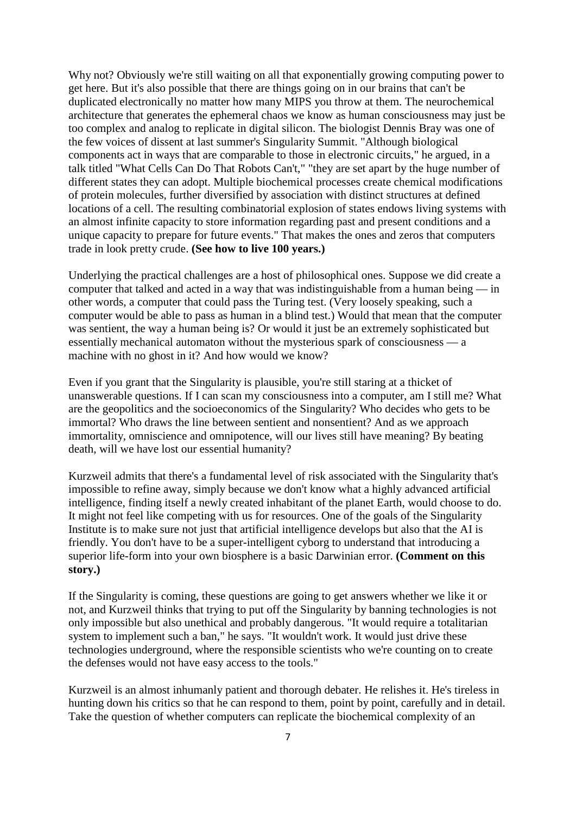Why not? Obviously we're still waiting on all that exponentially growing computing power to get here. But it's also possible that there are things going on in our brains that can't be duplicated electronically no matter how many MIPS you throw at them. The neurochemical architecture that generates the ephemeral chaos we know as human consciousness may just be too complex and analog to replicate in digital silicon. The biologist Dennis Bray was one of the few voices of dissent at last summer's Singularity Summit. "Although biological components act in ways that are comparable to those in electronic circuits," he argued, in a talk titled "What Cells Can Do That Robots Can't," "they are set apart by the huge number of different states they can adopt. Multiple biochemical processes create chemical modifications of protein molecules, further diversified by association with distinct structures at defined locations of a cell. The resulting combinatorial explosion of states endows living systems with an almost infinite capacity to store information regarding past and present conditions and a unique capacity to prepare for future events." That makes the ones and zeros that computers trade in look pretty crude. **[\(See how to live 100 years.\)](http://www.time.com/time/specials/packages/article/0,28804,1963392_1963365,00.html)**

Underlying the practical challenges are a host of philosophical ones. Suppose we did create a computer that talked and acted in a way that was indistinguishable from a human being — in other words, a computer that could pass the Turing test. (Very loosely speaking, such a computer would be able to pass as human in a blind test.) Would that mean that the computer was sentient, the way a human being is? Or would it just be an extremely sophisticated but essentially mechanical automaton without the mysterious spark of consciousness — a machine with no ghost in it? And how would we know?

Even if you grant that the Singularity is plausible, you're still staring at a thicket of unanswerable questions. If I can scan my consciousness into a computer, am I still me? What are the geopolitics and the socioeconomics of the Singularity? Who decides who gets to be immortal? Who draws the line between sentient and nonsentient? And as we approach immortality, omniscience and omnipotence, will our lives still have meaning? By beating death, will we have lost our essential humanity?

Kurzweil admits that there's a fundamental level of risk associated with the Singularity that's impossible to refine away, simply because we don't know what a highly advanced artificial intelligence, finding itself a newly created inhabitant of the planet Earth, would choose to do. It might not feel like competing with us for resources. One of the goals of the Singularity Institute is to make sure not just that artificial intelligence develops but also that the AI is friendly. You don't have to be a super-intelligent cyborg to understand that introducing a superior life-form into your own biosphere is a basic Darwinian error. **[\(Comment on this](http://www.time.com/time/health/article/0,8599,2048138,00.html#comments)  [story.\)](http://www.time.com/time/health/article/0,8599,2048138,00.html#comments)**

If the Singularity is coming, these questions are going to get answers whether we like it or not, and Kurzweil thinks that trying to put off the Singularity by banning technologies is not only impossible but also unethical and probably dangerous. "It would require a totalitarian system to implement such a ban," he says. "It wouldn't work. It would just drive these technologies underground, where the responsible scientists who we're counting on to create the defenses would not have easy access to the tools."

Kurzweil is an almost inhumanly patient and thorough debater. He relishes it. He's tireless in hunting down his critics so that he can respond to them, point by point, carefully and in detail. Take the question of whether computers can replicate the biochemical complexity of an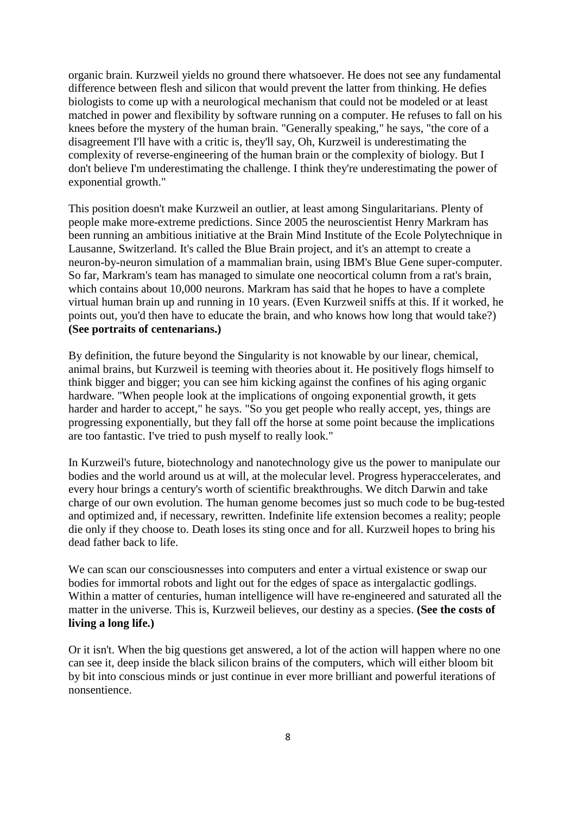organic brain. Kurzweil yields no ground there whatsoever. He does not see any fundamental difference between flesh and silicon that would prevent the latter from thinking. He defies biologists to come up with a neurological mechanism that could not be modeled or at least matched in power and flexibility by software running on a computer. He refuses to fall on his knees before the mystery of the human brain. "Generally speaking," he says, "the core of a disagreement I'll have with a critic is, they'll say, Oh, Kurzweil is underestimating the complexity of reverse-engineering of the human brain or the complexity of biology. But I don't believe I'm underestimating the challenge. I think they're underestimating the power of exponential growth."

This position doesn't make Kurzweil an outlier, at least among Singularitarians. Plenty of people make more-extreme predictions. Since 2005 the neuroscientist Henry Markram has been running an ambitious initiative at the Brain Mind Institute of the Ecole Polytechnique in Lausanne, Switzerland. It's called the Blue Brain project, and it's an attempt to create a neuron-by-neuron simulation of a mammalian brain, using IBM's Blue Gene super-computer. So far, Markram's team has managed to simulate one neocortical column from a rat's brain, which contains about 10,000 neurons. Markram has said that he hopes to have a complete virtual human brain up and running in 10 years. (Even Kurzweil sniffs at this. If it worked, he points out, you'd then have to educate the brain, and who knows how long that would take?) **[\(See portraits of centenarians.\)](http://www.time.com/time/photogallery/0,29307,1961975,00.html)**

By definition, the future beyond the Singularity is not knowable by our linear, chemical, animal brains, but Kurzweil is teeming with theories about it. He positively flogs himself to think bigger and bigger; you can see him kicking against the confines of his aging organic hardware. "When people look at the implications of ongoing exponential growth, it gets harder and harder to accept," he says. "So you get people who really accept, yes, things are progressing exponentially, but they fall off the horse at some point because the implications are too fantastic. I've tried to push myself to really look."

In Kurzweil's future, biotechnology and nanotechnology give us the power to manipulate our bodies and the world around us at will, at the molecular level. Progress hyperaccelerates, and every hour brings a century's worth of scientific breakthroughs. We ditch Darwin and take charge of our own evolution. The human genome becomes just so much code to be bug-tested and optimized and, if necessary, rewritten. Indefinite life extension becomes a reality; people die only if they choose to. Death loses its sting once and for all. Kurzweil hopes to bring his dead father back to life.

We can scan our consciousnesses into computers and enter a virtual existence or swap our bodies for immortal robots and light out for the edges of space as intergalactic godlings. Within a matter of centuries, human intelligence will have re-engineered and saturated all the matter in the universe. This is, Kurzweil believes, our destiny as a species. **[\(See the costs of](http://www.time.com/time/specials/packages/article/0,28804,1963392_1963366_1963382,00.html)  [living a long life.\)](http://www.time.com/time/specials/packages/article/0,28804,1963392_1963366_1963382,00.html)**

Or it isn't. When the big questions get answered, a lot of the action will happen where no one can see it, deep inside the black silicon brains of the computers, which will either bloom bit by bit into conscious minds or just continue in ever more brilliant and powerful iterations of nonsentience.